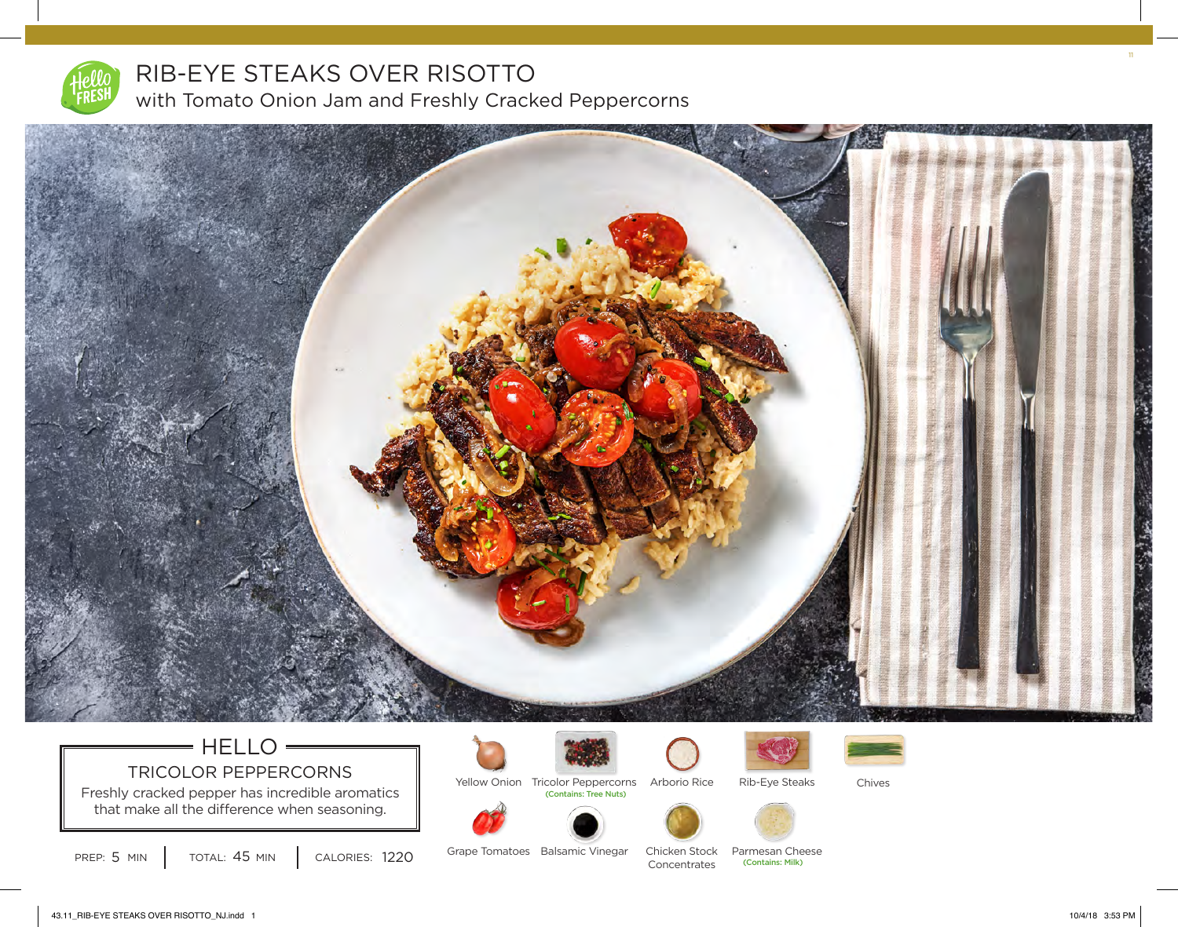

# RIB-EYE STEAKS OVER RISOTTO with Tomato Onion Jam and Freshly Cracked Peppercorns



# $=$  HELLO  $\longrightarrow$ TRICOLOR PEPPERCORNS

Freshly cracked pepper has incredible aromatics that make all the difference when seasoning.









Yellow Onion Tricolor Peppercorns Arborio Rice (Contains: Tree Nuts)



Rib-Eye Steaks Chives

TOTAL: 45 MIN

Grape Tomatoes Balsamic Vinegar Chicken Stock Parmesan Cheese PREP: 5 MIN | TOTAL: 45 MIN | CALORIES: 1220 Grape Tomatoes Balsamic Vinegar Chicken Stock Parmesan Cheese

Chicken Stock

11